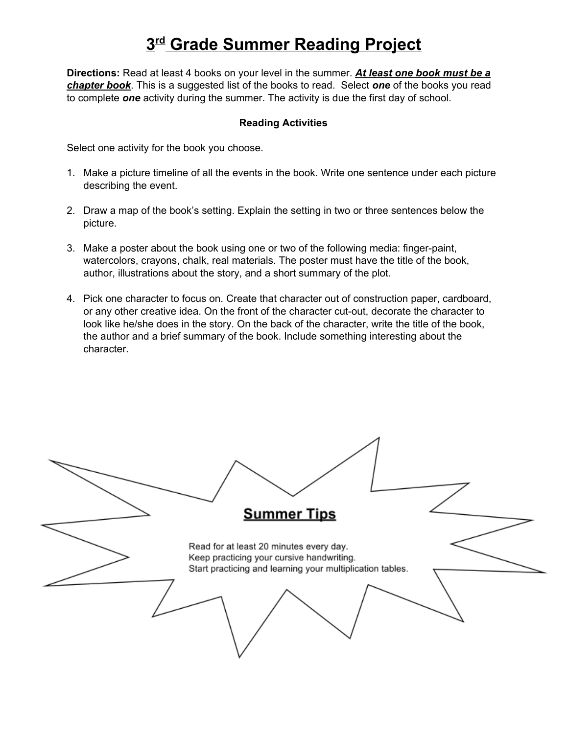## **3rdGrade Summer Reading Project**

**Directions:** Read at least 4 books on your level in the summer. *At least one book must be a chapter book*. This is a suggested list of the books to read. Select *one* of the books you read to complete *one*activity during the summer. The activity is due the first day of school.

## **Reading Activities**

Select one activity for the book you choose.

- 1. Make a picture timeline of all the events in the book. Write one sentence under each picture describing the event.
- 2. Draw a map of the book's setting. Explain the setting in two or three sentences below the picture.
- 3. Make a poster about the book using one or two of the following media: finger-paint, watercolors, crayons, chalk, real materials. The poster must have the title of the book, author, illustrations about the story, and a short summary of the plot.
- 4. Pick one character to focus on. Create that character out of construction paper, cardboard, or any other creative idea. On the front of the character cut-out, decorate the character to look like he/she does in the story. On the back of the character, write the title of the book, the author and a brief summary of the book. Include something interesting about the character.